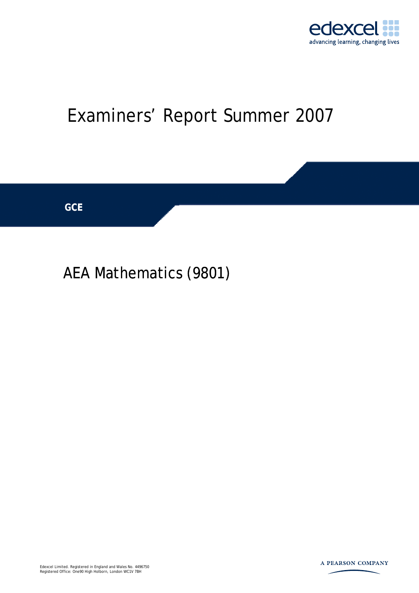

# Examiners' Report Summer 2007



## AEA Mathematics (9801)

Edexcel Limited. Registered in England and Wales No. 4496750 Registered Office: One90 High Holborn, London WC1V 7BH

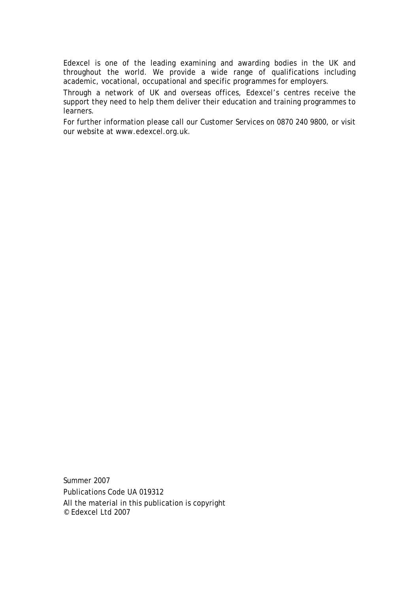Edexcel is one of the leading examining and awarding bodies in the UK and throughout the world. We provide a wide range of qualifications including academic, vocational, occupational and specific programmes for employers.

Through a network of UK and overseas offices, Edexcel's centres receive the support they need to help them deliver their education and training programmes to learners.

For further information please call our Customer Services on 0870 240 9800, or visit our website at www.edexcel.org.uk.

Summer 2007 Publications Code UA 019312 All the material in this publication is copyright © Edexcel Ltd 2007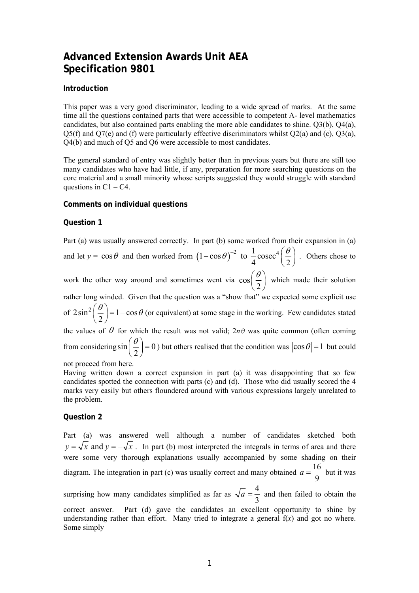### **Advanced Extension Awards Unit AEA Specification 9801**

#### **Introduction**

This paper was a very good discriminator, leading to a wide spread of marks. At the same time all the questions contained parts that were accessible to competent A- level mathematics candidates, but also contained parts enabling the more able candidates to shine. Q3(b), Q4(a),  $Q5(f)$  and  $Q7(e)$  and (f) were particularly effective discriminators whilst  $Q2(a)$  and (c),  $Q3(a)$ , Q4(b) and much of Q5 and Q6 were accessible to most candidates.

The general standard of entry was slightly better than in previous years but there are still too many candidates who have had little, if any, preparation for more searching questions on the core material and a small minority whose scripts suggested they would struggle with standard questions in  $C1 - C4$ .

#### **Comments on individual questions**

#### **Question 1**

Part (a) was usually answered correctly. In part (b) some worked from their expansion in (a) and let  $y = \cos \theta$  and then worked from  $(1 - \cos \theta)^{-2}$  to  $\frac{1}{4}$  cosec<sup>4</sup>  $(-\cos \theta)^{-2}$  to  $\frac{1}{4}$ cosec<sup>4</sup> $(\frac{\theta}{2})$ . Others chose to work the other way around and sometimes went via cos  $\left(\frac{\theta}{2}\right)$  which made their solution rather long winded. Given that the question was a "show that" we expected some explicit use of  $2\sin^2\left(\frac{\theta}{2}\right) = 1 - \cos\theta$  $\left(\frac{\theta}{2}\right) = 1 - \cos\theta$  (or equivalent) at some stage in the working. Few candidates stated the values of  $\theta$  for which the result was not valid;  $2n\theta$  was quite common (often coming from considering  $\sin \left| \frac{6}{5} \right| = 0$ 2  $\left(\frac{\theta}{2}\right) = 0$ ) but others realised that the condition was  $|\cos \theta| = 1$  but could

not proceed from here.

Having written down a correct expansion in part (a) it was disappointing that so few candidates spotted the connection with parts (c) and (d). Those who did usually scored the 4 marks very easily but others floundered around with various expressions largely unrelated to the problem.

#### **Question 2**

Part (a) was answered well although a number of candidates sketched both  $y = \sqrt{x}$  and  $y = -\sqrt{x}$ . In part (b) most interpreted the integrals in terms of area and there were some very thorough explanations usually accompanied by some shading on their diagram. The integration in part (c) was usually correct and many obtained  $a = \frac{16}{5}$ 9  $a = \frac{16}{3}$  but it was surprising how many candidates simplified as far as  $\sqrt{a} = \frac{4}{3}$ 3  $a = \frac{1}{2}$  and then failed to obtain the correct answer. Part (d) gave the candidates an excellent opportunity to shine by understanding rather than effort. Many tried to integrate a general f(*x*) and got no where. Some simply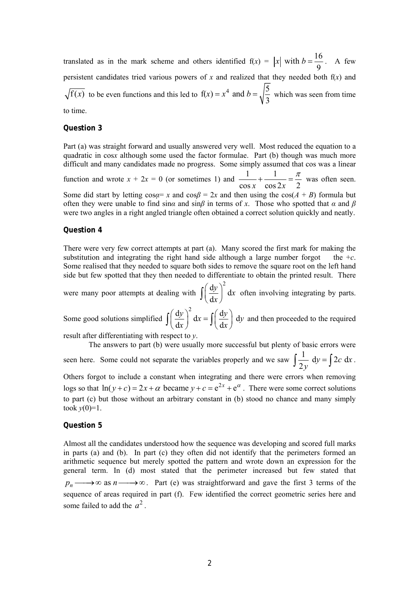translated as in the mark scheme and others identified  $f(x) = |x|$  with  $b = \frac{16}{3}$ 9 *x* with  $b = \frac{16}{3}$ . A few persistent candidates tried various powers of  $x$  and realized that they needed both  $f(x)$  and  $f(x)$  to be even functions and this led to  $f(x) = x^4$  and  $b = \sqrt{\frac{5}{2}}$ 3  $f(x) = x^4$  and  $b = \sqrt{\frac{3}{2}}$  which was seen from time to time.

#### **Question 3**

Part (a) was straight forward and usually answered very well. Most reduced the equation to a quadratic in cos*x* although some used the factor formulae. Part (b) though was much more difficult and many candidates made no progress. Some simply assumed that cos was a linear function and wrote  $x + 2x = 0$  (or sometimes 1) and  $\frac{1}{x} + \frac{1}{x}$  $\cos x$   $\cos 2x$  2  $+\frac{1}{\epsilon} = \frac{\pi}{2}$  was often seen. Some did start by letting  $\cos \alpha = x$  and  $\cos \beta = 2x$  and then using the  $\cos(A + B)$  formula but often they were unable to find sin*α* and sin*β* in terms of *x*. Those who spotted that *α* and *β* were two angles in a right angled triangle often obtained a correct solution quickly and neatly.

#### **Question 4**

There were very few correct attempts at part (a). Many scored the first mark for making the substitution and integrating the right hand side although a large number forgot the  $+c$ . Some realised that they needed to square both sides to remove the square root on the left hand side but few spotted that they then needed to differentiate to obtain the printed result. There

were many poor attempts at dealing with  $\int \left(\frac{dy}{dx}\right)^2 dx$ d  $\left(\frac{y}{x}\right)^2 dx$  $\int \left(\frac{dy}{dx}\right)^2 dx$  often involving integrating by parts.

Some good solutions simplified  $\int \left(\frac{dy}{dx}\right)^2 dx = \int \left(\frac{d}{dx}\right)^2 dy$  $dx$   $\int$   $\int$   $\int$   $\int$   $\int$  $\left(\frac{y}{y}\right)^2 dx = \int \left(\frac{dy}{y}\right) dy$  $\int \left(\frac{dy}{dx}\right)^2 dx = \int \left(\frac{dy}{dx}\right) dy$  and then proceeded to the required

result after differentiating with respect to *y*.

The answers to part (b) were usually more successful but plenty of basic errors were seen here. Some could not separate the variables properly and we saw  $\int \frac{1}{2y} dy = \int 2c dx$ .

Others forgot to include a constant when integrating and there were errors when removing logs so that  $\ln(y + c) = 2x + a$  became  $y + c = e^{2x} + e^{a}$ . There were some correct solutions to part (c) but those without an arbitrary constant in (b) stood no chance and many simply took  $y(0)=1$ .

#### **Question 5**

Almost all the candidates understood how the sequence was developing and scored full marks in parts (a) and (b). In part (c) they often did not identify that the perimeters formed an arithmetic sequence but merely spotted the pattern and wrote down an expression for the general term. In (d) most stated that the perimeter increased but few stated that  $p_n \longrightarrow \infty$  as  $n \longrightarrow \infty$ . Part (e) was straightforward and gave the first 3 terms of the sequence of areas required in part (f). Few identified the correct geometric series here and some failed to add the  $a^2$ .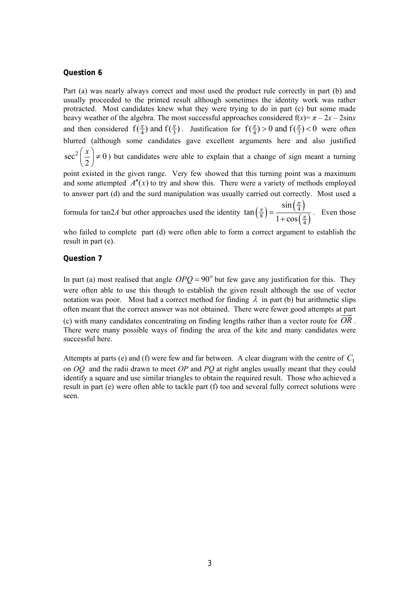#### **Question 6**

Part (a) was nearly always correct and most used the product rule correctly in part (b) and usually proceeded to the printed result although sometimes the identity work was rather protracted. Most candidates knew what they were trying to do in part (c) but some made heavy weather of the algebra. The most successful approaches considered  $f(x) = \pi - 2x - 2\sin x$ and then considered  $f(\frac{\pi}{4})$  and  $f(\frac{\pi}{3})$ . Justification for  $f(\frac{\pi}{4}) > 0$  and  $f(\frac{\pi}{3}) < 0$  were often blurred (although some candidates gave excellent arguments here and also justified  $\sec^2\left(\frac{x}{2}\right) \neq 0$ 2  $\left(\frac{x}{2}\right) \neq 0$ ) but candidates were able to explain that a change of sign meant a turning

point existed in the given range. Very few showed that this turning point was a maximum and some attempted  $A''(x)$  to try and show this. There were a variety of methods employed to answer part (d) and the surd manipulation was usually carried out correctly. Most used a

formula for tan2*A* but other approaches used the identity  $\tan\left(\frac{\pi}{8}\right) = \frac{\sin\left(\frac{\pi}{4}\right)}{4}$  $(\frac{\pi}{4})$ 4 8 4 sin tan  $1 + \cos$ π  $(\frac{\pi}{8}) = \frac{(4)}{1 + \cos(\frac{\pi}{4})}$ . Even those

who failed to complete part (d) were often able to form a correct argument to establish the result in part (e).

#### **Question 7**

In part (a) most realised that angle  $OPQ = 90^\circ$  but few gave any justification for this. They were often able to use this though to establish the given result although the use of vector notation was poor. Most had a correct method for finding  $\lambda$  in part (b) but arithmetic slips often meant that the correct answer was not obtained. There were fewer good attempts at part (c) with many candidates concentrating on finding lengths rather than a vector route for  $\overline{OR}$ . There were many possible ways of finding the area of the kite and many candidates were successful here.

Attempts at parts (e) and (f) were few and far between. A clear diagram with the centre of *C*1 on *OQ* and the radii drawn to meet *OP* and *PQ* at right angles usually meant that they could identify a square and use similar triangles to obtain the required result. Those who achieved a result in part (e) were often able to tackle part (f) too and several fully correct solutions were seen.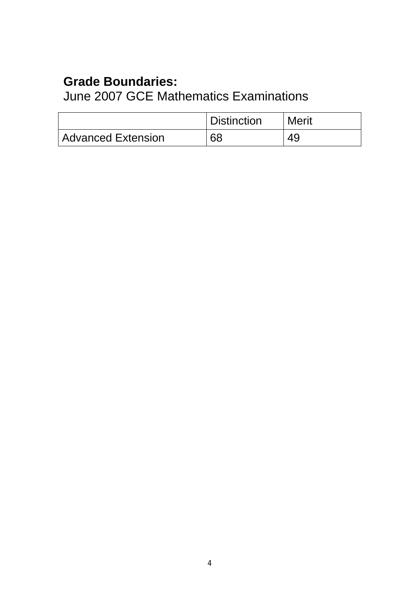### **Grade Boundaries:**

June 2007 GCE Mathematics Examinations

|                           | <b>Distinction</b> | <b>Merit</b> |
|---------------------------|--------------------|--------------|
| <b>Advanced Extension</b> | 68                 |              |